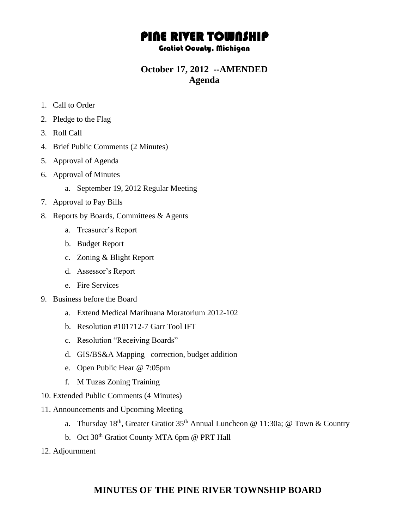# PINE RIVER TOWNSHIP

#### Gratiot County, Michigan

### **October 17, 2012 --AMENDED Agenda**

- 1. Call to Order
- 2. Pledge to the Flag
- 3. Roll Call
- 4. Brief Public Comments (2 Minutes)
- 5. Approval of Agenda
- 6. Approval of Minutes
	- a. September 19, 2012 Regular Meeting
- 7. Approval to Pay Bills
- 8. Reports by Boards, Committees & Agents
	- a. Treasurer's Report
	- b. Budget Report
	- c. Zoning & Blight Report
	- d. Assessor's Report
	- e. Fire Services
- 9. Business before the Board
	- a. Extend Medical Marihuana Moratorium 2012-102
	- b. Resolution #101712-7 Garr Tool IFT
	- c. Resolution "Receiving Boards"
	- d. GIS/BS&A Mapping –correction, budget addition
	- e. Open Public Hear @ 7:05pm
	- f. M Tuzas Zoning Training
- 10. Extended Public Comments (4 Minutes)
- 11. Announcements and Upcoming Meeting
	- a. Thursday 18th, Greater Gratiot 35th Annual Luncheon @ 11:30a; @ Town & Country
	- b. Oct 30<sup>th</sup> Gratiot County MTA 6pm @ PRT Hall
- 12. Adjournment

### **MINUTES OF THE PINE RIVER TOWNSHIP BOARD**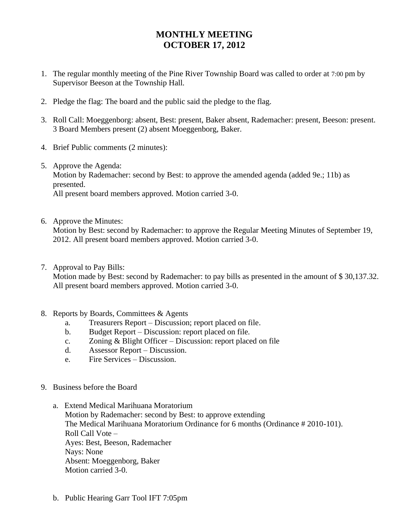## **MONTHLY MEETING OCTOBER 17, 2012**

- 1. The regular monthly meeting of the Pine River Township Board was called to order at 7:00 pm by Supervisor Beeson at the Township Hall.
- 2. Pledge the flag: The board and the public said the pledge to the flag.
- 3. Roll Call: Moeggenborg: absent, Best: present, Baker absent, Rademacher: present, Beeson: present. 3 Board Members present (2) absent Moeggenborg, Baker.
- 4. Brief Public comments (2 minutes):
- 5. Approve the Agenda: Motion by Rademacher: second by Best: to approve the amended agenda (added 9e.; 11b) as presented. All present board members approved. Motion carried 3-0.
- 6. Approve the Minutes:

Motion by Best: second by Rademacher: to approve the Regular Meeting Minutes of September 19, 2012. All present board members approved. Motion carried 3-0.

7. Approval to Pay Bills:

Motion made by Best: second by Rademacher: to pay bills as presented in the amount of \$30,137.32. All present board members approved. Motion carried 3-0.

- 8. Reports by Boards, Committees & Agents
	- a. Treasurers Report Discussion; report placed on file.
	- b. Budget Report Discussion: report placed on file.
	- c. Zoning & Blight Officer Discussion: report placed on file
	- d. Assessor Report Discussion.
	- e. Fire Services Discussion.
- 9. Business before the Board
	- a. Extend Medical Marihuana Moratorium Motion by Rademacher: second by Best: to approve extending The Medical Marihuana Moratorium Ordinance for 6 months (Ordinance # 2010-101). Roll Call Vote – Ayes: Best, Beeson, Rademacher Nays: None Absent: Moeggenborg, Baker Motion carried 3-0.
	- b. Public Hearing Garr Tool IFT 7:05pm